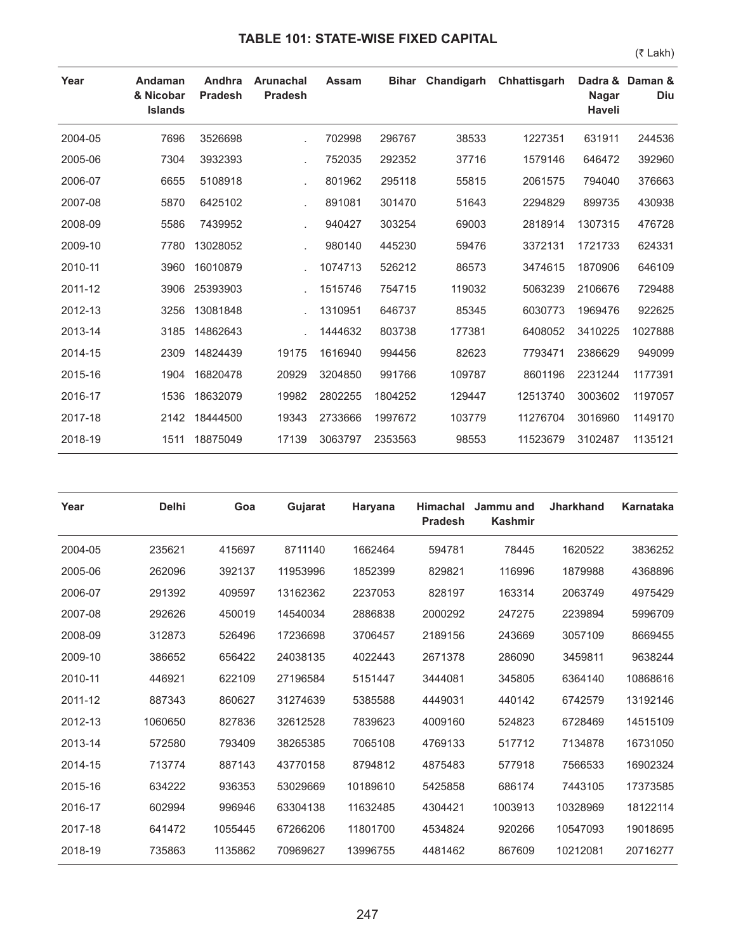## **TABLE 101: STATE-WISE FIXED CAPITAL**

(₹ Lakh)

| Year    | Andaman<br>& Nicobar<br><b>Islands</b> | Andhra<br><b>Pradesh</b> | <b>Arunachal</b><br><b>Pradesh</b> | <b>Assam</b> | <b>Bihar</b> | Chandigarh | Chhattisgarh | Dadra &<br><b>Nagar</b><br><b>Haveli</b> | Daman &<br>Diu |
|---------|----------------------------------------|--------------------------|------------------------------------|--------------|--------------|------------|--------------|------------------------------------------|----------------|
| 2004-05 | 7696                                   | 3526698                  |                                    | 702998       | 296767       | 38533      | 1227351      | 631911                                   | 244536         |
| 2005-06 | 7304                                   | 3932393                  |                                    | 752035       | 292352       | 37716      | 1579146      | 646472                                   | 392960         |
| 2006-07 | 6655                                   | 5108918                  |                                    | 801962       | 295118       | 55815      | 2061575      | 794040                                   | 376663         |
| 2007-08 | 5870                                   | 6425102                  |                                    | 891081       | 301470       | 51643      | 2294829      | 899735                                   | 430938         |
| 2008-09 | 5586                                   | 7439952                  |                                    | 940427       | 303254       | 69003      | 2818914      | 1307315                                  | 476728         |
| 2009-10 | 7780                                   | 13028052                 |                                    | 980140       | 445230       | 59476      | 3372131      | 1721733                                  | 624331         |
| 2010-11 | 3960                                   | 16010879                 |                                    | 1074713      | 526212       | 86573      | 3474615      | 1870906                                  | 646109         |
| 2011-12 | 3906                                   | 25393903                 |                                    | 1515746      | 754715       | 119032     | 5063239      | 2106676                                  | 729488         |
| 2012-13 | 3256                                   | 13081848                 |                                    | 1310951      | 646737       | 85345      | 6030773      | 1969476                                  | 922625         |
| 2013-14 | 3185                                   | 14862643                 |                                    | 1444632      | 803738       | 177381     | 6408052      | 3410225                                  | 1027888        |
| 2014-15 | 2309                                   | 14824439                 | 19175                              | 1616940      | 994456       | 82623      | 7793471      | 2386629                                  | 949099         |
| 2015-16 | 1904                                   | 16820478                 | 20929                              | 3204850      | 991766       | 109787     | 8601196      | 2231244                                  | 1177391        |
| 2016-17 | 1536                                   | 18632079                 | 19982                              | 2802255      | 1804252      | 129447     | 12513740     | 3003602                                  | 1197057        |
| 2017-18 | 2142                                   | 18444500                 | 19343                              | 2733666      | 1997672      | 103779     | 11276704     | 3016960                                  | 1149170        |
| 2018-19 | 1511                                   | 18875049                 | 17139                              | 3063797      | 2353563      | 98553      | 11523679     | 3102487                                  | 1135121        |

| Year    | <b>Delhi</b> | Goa     | Gujarat  | Haryana  | <b>Himachal</b><br><b>Pradesh</b> | Jammu and<br><b>Kashmir</b> | <b>Jharkhand</b> | <b>Karnataka</b> |
|---------|--------------|---------|----------|----------|-----------------------------------|-----------------------------|------------------|------------------|
| 2004-05 | 235621       | 415697  | 8711140  | 1662464  | 594781                            | 78445                       | 1620522          | 3836252          |
| 2005-06 | 262096       | 392137  | 11953996 | 1852399  | 829821                            | 116996                      | 1879988          | 4368896          |
| 2006-07 | 291392       | 409597  | 13162362 | 2237053  | 828197                            | 163314                      | 2063749          | 4975429          |
| 2007-08 | 292626       | 450019  | 14540034 | 2886838  | 2000292                           | 247275                      | 2239894          | 5996709          |
| 2008-09 | 312873       | 526496  | 17236698 | 3706457  | 2189156                           | 243669                      | 3057109          | 8669455          |
| 2009-10 | 386652       | 656422  | 24038135 | 4022443  | 2671378                           | 286090                      | 3459811          | 9638244          |
| 2010-11 | 446921       | 622109  | 27196584 | 5151447  | 3444081                           | 345805                      | 6364140          | 10868616         |
| 2011-12 | 887343       | 860627  | 31274639 | 5385588  | 4449031                           | 440142                      | 6742579          | 13192146         |
| 2012-13 | 1060650      | 827836  | 32612528 | 7839623  | 4009160                           | 524823                      | 6728469          | 14515109         |
| 2013-14 | 572580       | 793409  | 38265385 | 7065108  | 4769133                           | 517712                      | 7134878          | 16731050         |
| 2014-15 | 713774       | 887143  | 43770158 | 8794812  | 4875483                           | 577918                      | 7566533          | 16902324         |
| 2015-16 | 634222       | 936353  | 53029669 | 10189610 | 5425858                           | 686174                      | 7443105          | 17373585         |
| 2016-17 | 602994       | 996946  | 63304138 | 11632485 | 4304421                           | 1003913                     | 10328969         | 18122114         |
| 2017-18 | 641472       | 1055445 | 67266206 | 11801700 | 4534824                           | 920266                      | 10547093         | 19018695         |
| 2018-19 | 735863       | 1135862 | 70969627 | 13996755 | 4481462                           | 867609                      | 10212081         | 20716277         |